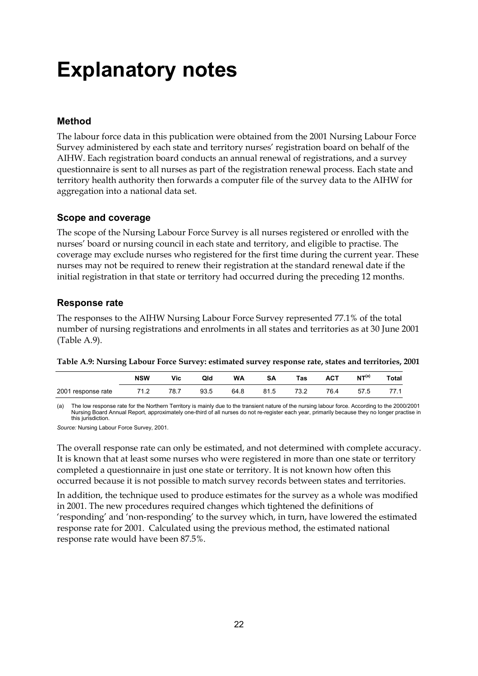## **Explanatory notes**

#### **Method**

The labour force data in this publication were obtained from the 2001 Nursing Labour Force Survey administered by each state and territory nurses' registration board on behalf of the AIHW. Each registration board conducts an annual renewal of registrations, and a survey questionnaire is sent to all nurses as part of the registration renewal process. Each state and territory health authority then forwards a computer file of the survey data to the AIHW for aggregation into a national data set.

#### **Scope and coverage**

The scope of the Nursing Labour Force Survey is all nurses registered or enrolled with the nurses' board or nursing council in each state and territory, and eligible to practise. The coverage may exclude nurses who registered for the first time during the current year. These nurses may not be required to renew their registration at the standard renewal date if the initial registration in that state or territory had occurred during the preceding 12 months.

#### **Response rate**

The responses to the AIHW Nursing Labour Force Survey represented 77.1% of the total number of nursing registrations and enrolments in all states and territories as at 30 June 2001 (Table A.9).

|  | Table A.9: Nursing Labour Force Survey: estimated survey response rate, states and territories, 2001 |  |
|--|------------------------------------------------------------------------------------------------------|--|
|  |                                                                                                      |  |

|                    | <b>NSW</b> | Vic  | Qld  | WA   | SΑ   | Tas  | ACT  | NT <sup>(a)</sup> | <b>Total</b> |
|--------------------|------------|------|------|------|------|------|------|-------------------|--------------|
| 2001 response rate | 71.2       | 78.7 | 93.5 | 64.8 | 81.5 | 73.2 | 76.4 | 57.5              |              |

(a) The low response rate for the Northern Territory is mainly due to the transient nature of the nursing labour force. According to the 2000/2001 Nursing Board Annual Report, approximately one-third of all nurses do not re-register each year, primarily because they no longer practise in this jurisdiction.

*Source:* Nursing Labour Force Survey, 2001.

The overall response rate can only be estimated, and not determined with complete accuracy. It is known that at least some nurses who were registered in more than one state or territory completed a questionnaire in just one state or territory. It is not known how often this occurred because it is not possible to match survey records between states and territories.

In addition, the technique used to produce estimates for the survey as a whole was modified in 2001. The new procedures required changes which tightened the definitions of 'responding' and 'non-responding' to the survey which, in turn, have lowered the estimated response rate for 2001. Calculated using the previous method, the estimated national response rate would have been 87.5%.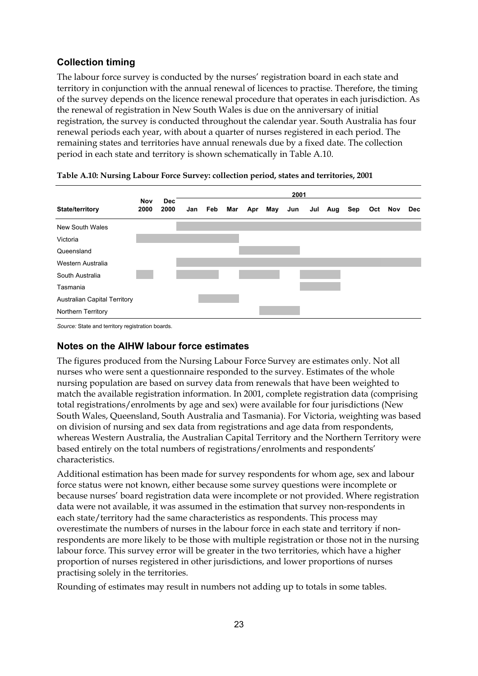## **Collection timing**

The labour force survey is conducted by the nurses' registration board in each state and territory in conjunction with the annual renewal of licences to practise. Therefore, the timing of the survey depends on the licence renewal procedure that operates in each jurisdiction. As the renewal of registration in New South Wales is due on the anniversary of initial registration, the survey is conducted throughout the calendar year. South Australia has four renewal periods each year, with about a quarter of nurses registered in each period. The remaining states and territories have annual renewals due by a fixed date. The collection period in each state and territory is shown schematically in Table A.10.

|                                     | 2001        |                    |     |     |     |     |     |     |     |     |     |     |     |     |
|-------------------------------------|-------------|--------------------|-----|-----|-----|-----|-----|-----|-----|-----|-----|-----|-----|-----|
| State/territory                     | Nov<br>2000 | <b>Dec</b><br>2000 | Jan | Feb | Mar | Apr | May | Jun | Jul | Aug | Sep | Oct | Nov | Dec |
| <b>New South Wales</b>              |             |                    |     |     |     |     |     |     |     |     |     |     |     |     |
| Victoria                            |             |                    |     |     |     |     |     |     |     |     |     |     |     |     |
| Queensland                          |             |                    |     |     |     |     |     |     |     |     |     |     |     |     |
| Western Australia                   |             |                    |     |     |     |     |     |     |     |     |     |     |     |     |
| South Australia                     |             |                    |     |     |     |     |     |     |     |     |     |     |     |     |
| Tasmania                            |             |                    |     |     |     |     |     |     |     |     |     |     |     |     |
| <b>Australian Capital Territory</b> |             |                    |     |     |     |     |     |     |     |     |     |     |     |     |
| Northern Territory                  |             |                    |     |     |     |     |     |     |     |     |     |     |     |     |

*Source:* State and territory registration boards.

#### **Notes on the AIHW labour force estimates**

The figures produced from the Nursing Labour Force Survey are estimates only. Not all nurses who were sent a questionnaire responded to the survey. Estimates of the whole nursing population are based on survey data from renewals that have been weighted to match the available registration information. In 2001, complete registration data (comprising total registrations/enrolments by age and sex) were available for four jurisdictions (New South Wales, Queensland, South Australia and Tasmania). For Victoria, weighting was based on division of nursing and sex data from registrations and age data from respondents, whereas Western Australia, the Australian Capital Territory and the Northern Territory were based entirely on the total numbers of registrations/enrolments and respondents' characteristics.

Additional estimation has been made for survey respondents for whom age, sex and labour force status were not known, either because some survey questions were incomplete or because nurses' board registration data were incomplete or not provided. Where registration data were not available, it was assumed in the estimation that survey non-respondents in each state/territory had the same characteristics as respondents. This process may overestimate the numbers of nurses in the labour force in each state and territory if nonrespondents are more likely to be those with multiple registration or those not in the nursing labour force. This survey error will be greater in the two territories, which have a higher proportion of nurses registered in other jurisdictions, and lower proportions of nurses practising solely in the territories.

Rounding of estimates may result in numbers not adding up to totals in some tables.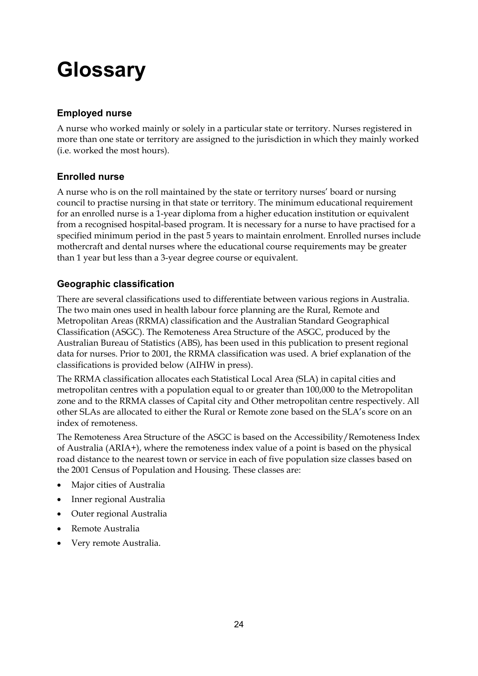# **Glossary**

## **Employed nurse**

A nurse who worked mainly or solely in a particular state or territory. Nurses registered in more than one state or territory are assigned to the jurisdiction in which they mainly worked (i.e. worked the most hours).

## **Enrolled nurse**

A nurse who is on the roll maintained by the state or territory nurses' board or nursing council to practise nursing in that state or territory. The minimum educational requirement for an enrolled nurse is a 1-year diploma from a higher education institution or equivalent from a recognised hospital-based program. It is necessary for a nurse to have practised for a specified minimum period in the past 5 years to maintain enrolment. Enrolled nurses include mothercraft and dental nurses where the educational course requirements may be greater than 1 year but less than a 3-year degree course or equivalent.

## **Geographic classification**

There are several classifications used to differentiate between various regions in Australia. The two main ones used in health labour force planning are the Rural, Remote and Metropolitan Areas (RRMA) classification and the Australian Standard Geographical Classification (ASGC). The Remoteness Area Structure of the ASGC, produced by the Australian Bureau of Statistics (ABS), has been used in this publication to present regional data for nurses. Prior to 2001, the RRMA classification was used. A brief explanation of the classifications is provided below (AIHW in press).

The RRMA classification allocates each Statistical Local Area (SLA) in capital cities and metropolitan centres with a population equal to or greater than 100,000 to the Metropolitan zone and to the RRMA classes of Capital city and Other metropolitan centre respectively. All other SLAs are allocated to either the Rural or Remote zone based on the SLA's score on an index of remoteness.

The Remoteness Area Structure of the ASGC is based on the Accessibility/Remoteness Index of Australia (ARIA+), where the remoteness index value of a point is based on the physical road distance to the nearest town or service in each of five population size classes based on the 2001 Census of Population and Housing. These classes are:

- Major cities of Australia
- Inner regional Australia
- Outer regional Australia
- Remote Australia
- Very remote Australia.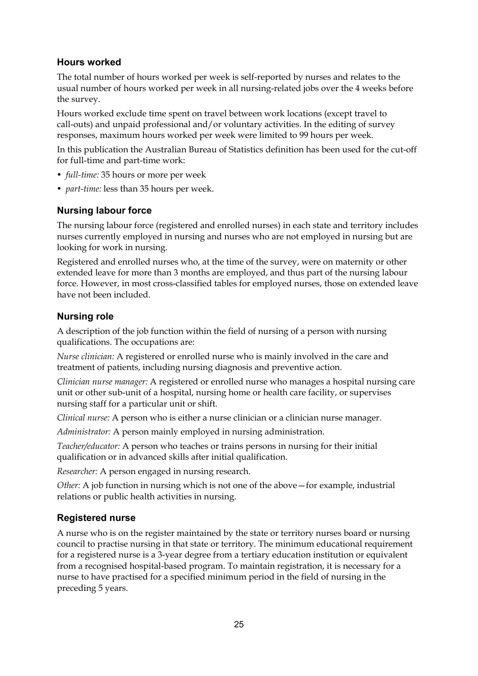### **Hours worked**

The total number of hours worked per week is self-reported by nurses and relates to the usual number of hours worked per week in all nursing-related jobs over the 4 weeks before the survey.

Hours worked exclude time spent on travel between work locations (except travel to call-outs) and unpaid professional and/or voluntary activities. In the editing of survey responses, maximum hours worked per week were limited to 99 hours per week.

In this publication the Australian Bureau of Statistics definition has been used for the cut-off for full-time and part-time work:

- *full-time:* 35 hours or more per week
- *part-time:* less than 35 hours per week.

### **Nursing labour force**

The nursing labour force (registered and enrolled nurses) in each state and territory includes nurses currently employed in nursing and nurses who are not employed in nursing but are looking for work in nursing.

Registered and enrolled nurses who, at the time of the survey, were on maternity or other extended leave for more than 3 months are employed, and thus part of the nursing labour force. However, in most cross-classified tables for employed nurses, those on extended leave have not been included.

#### **Nursing role**

A description of the job function within the field of nursing of a person with nursing qualifications. The occupations are:

*Nurse clinician:* A registered or enrolled nurse who is mainly involved in the care and treatment of patients, including nursing diagnosis and preventive action.

*Clinician nurse manager:* A registered or enrolled nurse who manages a hospital nursing care unit or other sub-unit of a hospital, nursing home or health care facility, or supervises nursing staff for a particular unit or shift.

*Clinical nurse:* A person who is either a nurse clinician or a clinician nurse manager.

*Administrator:* A person mainly employed in nursing administration.

*Teacher/educator:* A person who teaches or trains persons in nursing for their initial qualification or in advanced skills after initial qualification.

*Researcher:* A person engaged in nursing research.

*Other:* A job function in nursing which is not one of the above—for example, industrial relations or public health activities in nursing.

### **Registered nurse**

A nurse who is on the register maintained by the state or territory nurses board or nursing council to practise nursing in that state or territory. The minimum educational requirement for a registered nurse is a 3-year degree from a tertiary education institution or equivalent from a recognised hospital-based program. To maintain registration, it is necessary for a nurse to have practised for a specified minimum period in the field of nursing in the preceding 5 years.